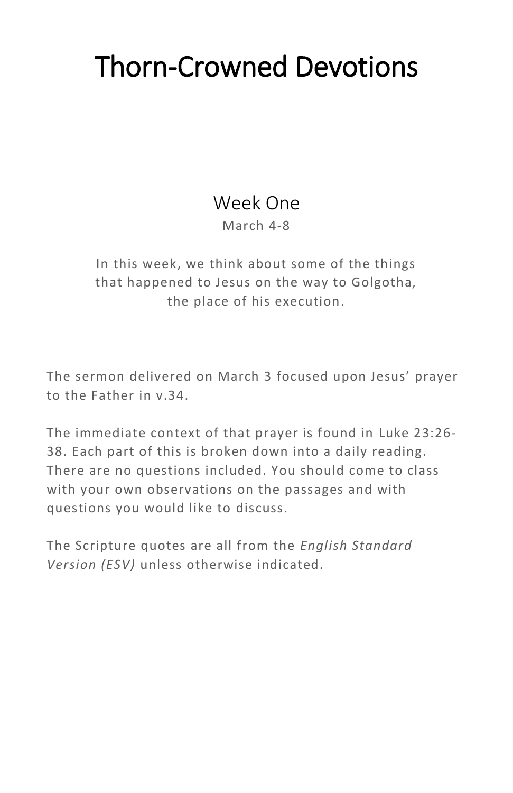# Thorn-Crowned Devotions

## Week One

March 4-8

In this week, we think about some of the things that happened to Jesus on the way to Golgotha, the place of his execution.

The sermon delivered on March 3 focused upon Jesus' prayer to the Father in v.34.

The immediate context of that prayer is found in Luke 23:26- 38. Each part of this is broken down into a daily reading. There are no questions included. You should come to class with your own observations on the passages and with questions you would like to discuss.

The Scripture quotes are all from the *English Standard Version (ESV)* unless otherwise indicated.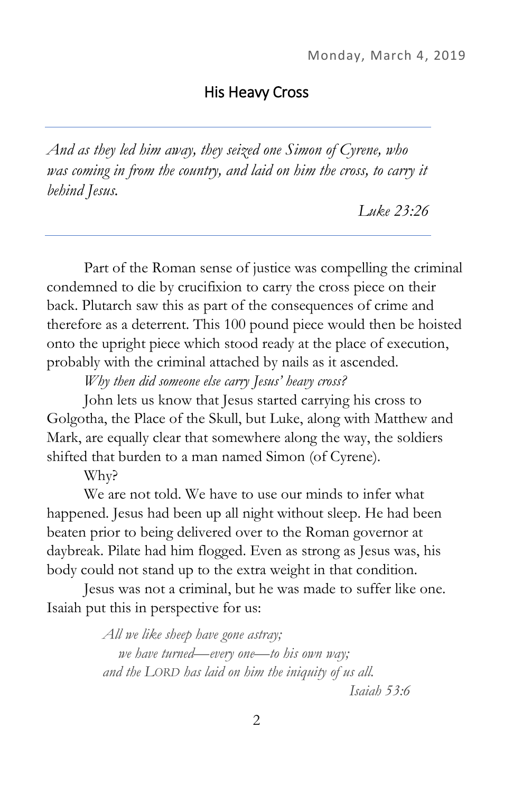#### His Heavy Cross

*And as they led him away, they seized one Simon of Cyrene, who was coming in from the country, and laid on him the cross, to carry it behind Jesus.* 

*Luke 23:26* 

Part of the Roman sense of justice was compelling the criminal condemned to die by crucifixion to carry the cross piece on their back. Plutarch saw this as part of the consequences of crime and therefore as a deterrent. This 100 pound piece would then be hoisted onto the upright piece which stood ready at the place of execution, probably with the criminal attached by nails as it ascended.

*Why then did someone else carry Jesus' heavy cross?* 

John lets us know that Jesus started carrying his cross to Golgotha, the Place of the Skull, but Luke, along with Matthew and Mark, are equally clear that somewhere along the way, the soldiers shifted that burden to a man named Simon (of Cyrene).

#### Why?

We are not told. We have to use our minds to infer what happened. Jesus had been up all night without sleep. He had been beaten prior to being delivered over to the Roman governor at daybreak. Pilate had him flogged. Even as strong as Jesus was, his body could not stand up to the extra weight in that condition.

Jesus was not a criminal, but he was made to suffer like one. Isaiah put this in perspective for us:

> *All we like sheep have gone astray; we have turned—every one—to his own way; and the LORD has laid on him the iniquity of us all. Isaiah 53:6*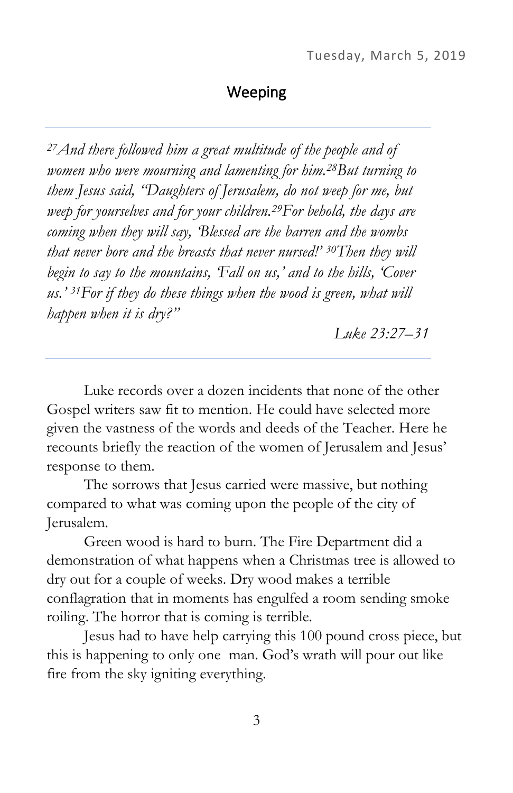### Weeping

*<sup>27</sup>And there followed him a great multitude of the people and of women who were mourning and lamenting for him.28But turning to them Jesus said, "Daughters of Jerusalem, do not weep for me, but weep for yourselves and for your children.29For behold, the days are coming when they will say, 'Blessed are the barren and the wombs that never bore and the breasts that never nursed!' 30Then they will begin to say to the mountains, 'Fall on us,' and to the hills, 'Cover us.' 31For if they do these things when the wood is green, what will happen when it is dry?"* 

*Luke 23:27–31* 

Luke records over a dozen incidents that none of the other Gospel writers saw fit to mention. He could have selected more given the vastness of the words and deeds of the Teacher. Here he recounts briefly the reaction of the women of Jerusalem and Jesus' response to them.

The sorrows that Jesus carried were massive, but nothing compared to what was coming upon the people of the city of Jerusalem.

Green wood is hard to burn. The Fire Department did a demonstration of what happens when a Christmas tree is allowed to dry out for a couple of weeks. Dry wood makes a terrible conflagration that in moments has engulfed a room sending smoke roiling. The horror that is coming is terrible.

Jesus had to have help carrying this 100 pound cross piece, but this is happening to only one man. God's wrath will pour out like fire from the sky igniting everything.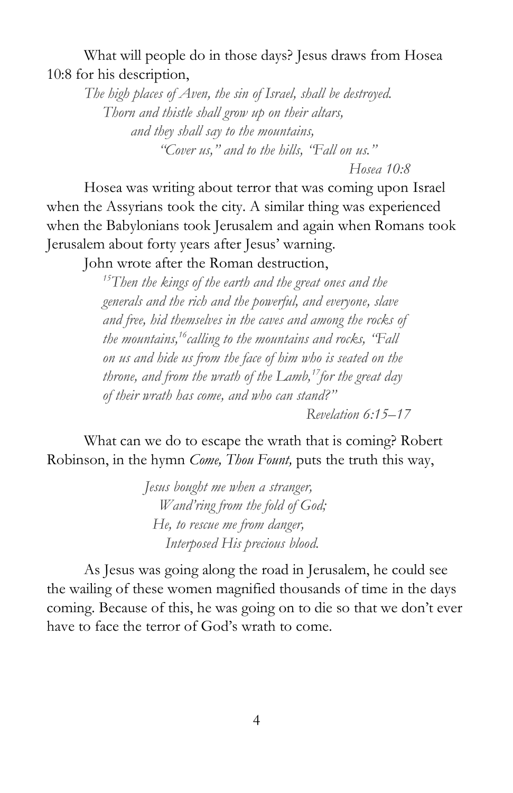#### What will people do in those days? Jesus draws from Hosea 10:8 for his description,

*The high places of Aven, the sin of Israel, shall be destroyed. Thorn and thistle shall grow up on their altars, and they shall say to the mountains, "Cover us," and to the hills, "Fall on us."* 

*Hosea 10:8* 

Hosea was writing about terror that was coming upon Israel when the Assyrians took the city. A similar thing was experienced when the Babylonians took Jerusalem and again when Romans took Jerusalem about forty years after Jesus' warning.

John wrote after the Roman destruction,

*<sup>15</sup>Then the kings of the earth and the great ones and the generals and the rich and the powerful, and everyone, slave and free, hid themselves in the caves and among the rocks of the mountains,<sup>16</sup>calling to the mountains and rocks, "Fall on us and hide us from the face of him who is seated on the throne, and from the wrath of the Lamb,<sup>17</sup>for the great day of their wrath has come, and who can stand?"* 

*Revelation 6:15–17* 

What can we do to escape the wrath that is coming? Robert Robinson, in the hymn *Come, Thou Fount,* puts the truth this way,

> *Jesus bought me when a stranger, Wand'ring from the fold of God; He, to rescue me from danger, Interposed His precious blood.*

As Jesus was going along the road in Jerusalem, he could see the wailing of these women magnified thousands of time in the days coming. Because of this, he was going on to die so that we don't ever have to face the terror of God's wrath to come.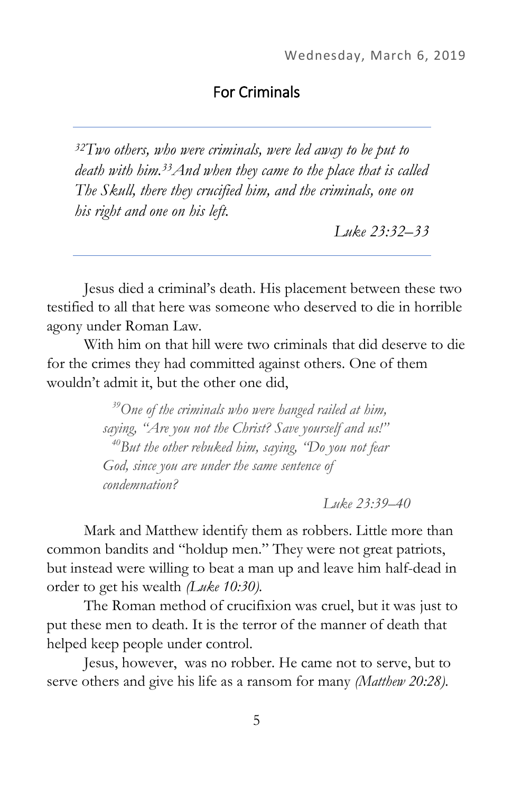#### For Criminals

*<sup>32</sup>Two others, who were criminals, were led away to be put to death with him.33And when they came to the place that is called The Skull, there they crucified him, and the criminals, one on his right and one on his left.* 

*Luke 23:32–33* 

Jesus died a criminal's death. His placement between these two testified to all that here was someone who deserved to die in horrible agony under Roman Law.

With him on that hill were two criminals that did deserve to die for the crimes they had committed against others. One of them wouldn't admit it, but the other one did,

> *<sup>39</sup>One of the criminals who were hanged railed at him, saying, "Are you not the Christ? Save yourself and us!" <sup>40</sup>But the other rebuked him, saying, "Do you not fear God, since you are under the same sentence of condemnation?*

> > *Luke 23:39–40*

Mark and Matthew identify them as robbers. Little more than common bandits and "holdup men." They were not great patriots, but instead were willing to beat a man up and leave him half-dead in order to get his wealth *(Luke 10:30).*

The Roman method of crucifixion was cruel, but it was just to put these men to death. It is the terror of the manner of death that helped keep people under control.

Jesus, however, was no robber. He came not to serve, but to serve others and give his life as a ransom for many *(Matthew 20:28).*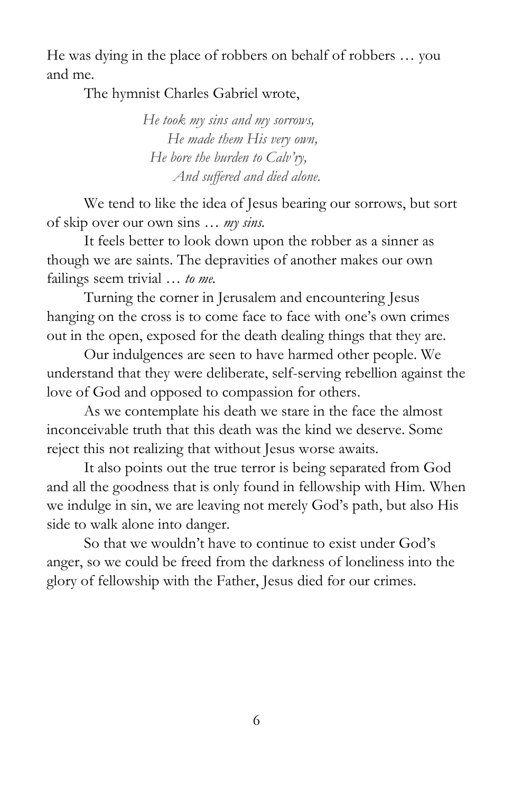He was dying in the place of robbers on behalf of robbers … you and me.

The hymnist Charles Gabriel wrote,

*He took my sins and my sorrows, He made them His very own, He bore the burden to Calv'ry, And suffered and died alone.*

We tend to like the idea of Jesus bearing our sorrows, but sort of skip over our own sins … *my sins.*

It feels better to look down upon the robber as a sinner as though we are saints. The depravities of another makes our own failings seem trivial … *to me.*

Turning the corner in Jerusalem and encountering Jesus hanging on the cross is to come face to face with one's own crimes out in the open, exposed for the death dealing things that they are.

Our indulgences are seen to have harmed other people. We understand that they were deliberate, self-serving rebellion against the love of God and opposed to compassion for others.

As we contemplate his death we stare in the face the almost inconceivable truth that this death was the kind we deserve. Some reject this not realizing that without Jesus worse awaits.

It also points out the true terror is being separated from God and all the goodness that is only found in fellowship with Him. When we indulge in sin, we are leaving not merely God's path, but also His side to walk alone into danger.

So that we wouldn't have to continue to exist under God's anger, so we could be freed from the darkness of loneliness into the glory of fellowship with the Father, Jesus died for our crimes.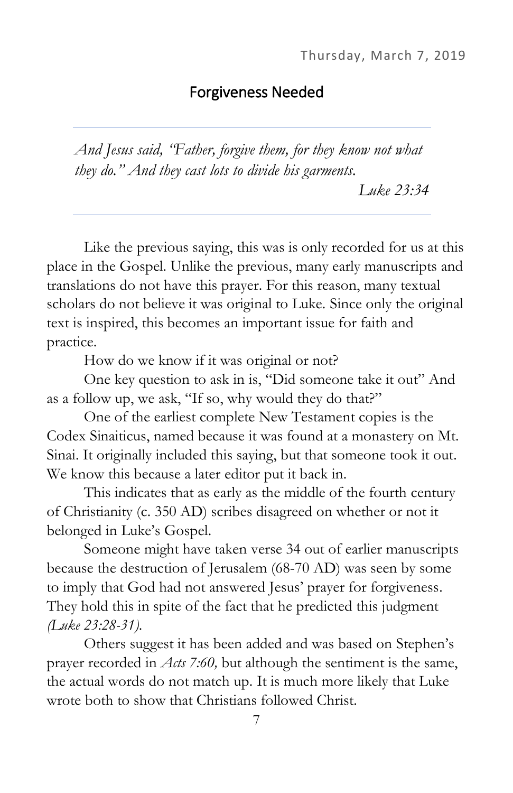#### Forgiveness Needed

*And Jesus said, "Father, forgive them, for they know not what they do." And they cast lots to divide his garments.* 

*Luke 23:34* 

Like the previous saying, this was is only recorded for us at this place in the Gospel. Unlike the previous, many early manuscripts and translations do not have this prayer. For this reason, many textual scholars do not believe it was original to Luke. Since only the original text is inspired, this becomes an important issue for faith and practice.

How do we know if it was original or not?

One key question to ask in is, "Did someone take it out" And as a follow up, we ask, "If so, why would they do that?"

One of the earliest complete New Testament copies is the Codex Sinaiticus, named because it was found at a monastery on Mt. Sinai. It originally included this saying, but that someone took it out. We know this because a later editor put it back in.

This indicates that as early as the middle of the fourth century of Christianity (c. 350 AD) scribes disagreed on whether or not it belonged in Luke's Gospel.

Someone might have taken verse 34 out of earlier manuscripts because the destruction of Jerusalem (68-70 AD) was seen by some to imply that God had not answered Jesus' prayer for forgiveness. They hold this in spite of the fact that he predicted this judgment *(Luke 23:28-31).*

Others suggest it has been added and was based on Stephen's prayer recorded in *Acts 7:60,* but although the sentiment is the same, the actual words do not match up. It is much more likely that Luke wrote both to show that Christians followed Christ.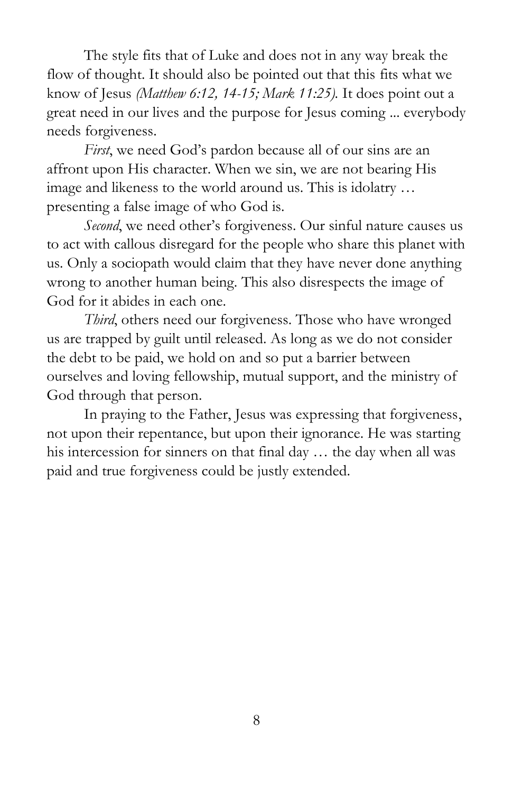The style fits that of Luke and does not in any way break the flow of thought. It should also be pointed out that this fits what we know of Jesus *(Matthew 6:12, 14-15; Mark 11:25).* It does point out a great need in our lives and the purpose for Jesus coming ... everybody needs forgiveness.

*First*, we need God's pardon because all of our sins are an affront upon His character. When we sin, we are not bearing His image and likeness to the world around us. This is idolatry … presenting a false image of who God is.

*Second*, we need other's forgiveness. Our sinful nature causes us to act with callous disregard for the people who share this planet with us. Only a sociopath would claim that they have never done anything wrong to another human being. This also disrespects the image of God for it abides in each one.

*Third*, others need our forgiveness. Those who have wronged us are trapped by guilt until released. As long as we do not consider the debt to be paid, we hold on and so put a barrier between ourselves and loving fellowship, mutual support, and the ministry of God through that person.

In praying to the Father, Jesus was expressing that forgiveness, not upon their repentance, but upon their ignorance. He was starting his intercession for sinners on that final day … the day when all was paid and true forgiveness could be justly extended.